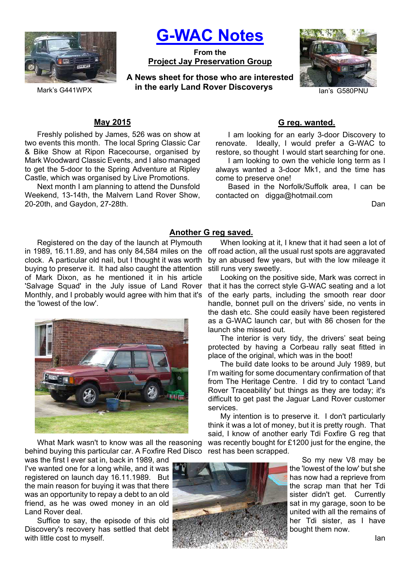

**G-WAC Notes**

**From the Project Jay Preservation Group**

Mark's G441WPX *in the early Land Rover Discoverys lan's G580PNU* **A News sheet for those who are interested** 



## **May 2015**

Freshly polished by James, 526 was on show at two events this month. The local Spring Classic Car & Bike Show at Ripon Racecourse, organised by Mark Woodward Classic Events, and I also managed to get the 5-door to the Spring Adventure at Ripley Castle, which was organised by Live Promotions.

Next month I am planning to attend the Dunsfold Weekend, 13-14th, the Malvern Land Rover Show, 20-20th, and Gaydon, 27-28th.

## **G reg. wanted.**

I am looking for an early 3-door Discovery to renovate. Ideally, I would prefer a G-WAC to restore, so thought I would start searching for one.

I am looking to own the vehicle long term as I always wanted a 3-door Mk1, and the time has come to preserve one!

Based in the Norfolk/Suffolk area, I can be contacted on digga@hotmail.com

Dan

# **Another G reg saved.**

Registered on the day of the launch at Plymouth in 1989, 16.11.89, and has only 84,584 miles on the off road action, all the usual rust spots are aggravated clock. A particular old nail, but I thought it was worth buying to preserve it. It had also caught the attention of Mark Dixon, as he mentioned it in his article 'Salvage Squad' in the July issue of Land Rover Monthly, and I probably would agree with him that it's the 'lowest of the low'.



What Mark wasn't to know was all the reasoning behind buying this particular car. A Foxfire Red Disco rest has been scrapped.

was the first I ever sat in, back in 1989, and I've wanted one for a long while, and it was registered on launch day 16.11.1989. But the main reason for buying it was that there was an opportunity to repay a debt to an old friend, as he was owed money in an old Land Rover deal.

Suffice to say, the episode of this old Discovery's recovery has settled that debt with little cost to myself.



When looking at it, I knew that it had seen a lot of by an abused few years, but with the low mileage it still runs very sweetly.

Looking on the positive side, Mark was correct in that it has the correct style G-WAC seating and a lot of the early parts, including the smooth rear door handle, bonnet pull on the drivers' side, no vents in the dash etc. She could easily have been registered as a G-WAC launch car, but with 86 chosen for the launch she missed out.

The interior is very tidy, the drivers' seat being protected by having a Corbeau rally seat fitted in place of the original, which was in the boot!

The build date looks to be around July 1989, but I'm waiting for some documentary confirmation of that from The Heritage Centre. I did try to contact 'Land Rover Traceability' but things as they are today; it's difficult to get past the Jaguar Land Rover customer services.

My intention is to preserve it. I don't particularly think it was a lot of money, but it is pretty rough. That said, I know of another early Tdi Foxfire G reg that was recently bought for £1200 just for the engine, the

So my new V8 may be the 'lowest of the low' but she has now had a reprieve from the scrap man that her Tdi sister didn't get. Currently sat in my garage, soon to be united with all the remains of her Tdi sister, as I have bought them now.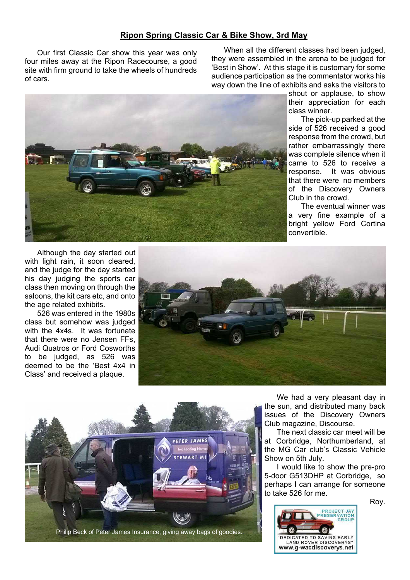## **Ripon Spring Classic Car & Bike Show, 3rd May**

Our first Classic Car show this year was only four miles away at the Ripon Racecourse, a good site with firm ground to take the wheels of hundreds of cars.

When all the different classes had been judged, they were assembled in the arena to be judged for 'Best in Show'. At this stage it is customary for some audience participation as the commentator works his way down the line of exhibits and asks the visitors to



shout or applause, to show their appreciation for each class winner.

The pick-up parked at the side of 526 received a good response from the crowd, but rather embarrassingly there was complete silence when it came to 526 to receive a response. It was obvious that there were no members of the Discovery Owners Club in the crowd.

The eventual winner was a very fine example of a bright yellow Ford Cortina convertible.

Although the day started out with light rain, it soon cleared, and the judge for the day started his day judging the sports car class then moving on through the saloons, the kit cars etc, and onto the age related exhibits.

526 was entered in the 1980s class but somehow was judged with the 4x4s. It was fortunate that there were no Jensen FFs, Audi Quatros or Ford Cosworths to be judged, as 526 was deemed to be the 'Best 4x4 in Class' and received a plaque.





We had a very pleasant day in the sun, and distributed many back issues of the Discovery Owners Club magazine, Discourse.

The next classic car meet will be at Corbridge, Northumberland, at the MG Car club's Classic Vehicle Show on 5th July.

I would like to show the pre-pro 5-door G513DHP at Corbridge, so perhaps I can arrange for someone to take 526 for me.

Roy.

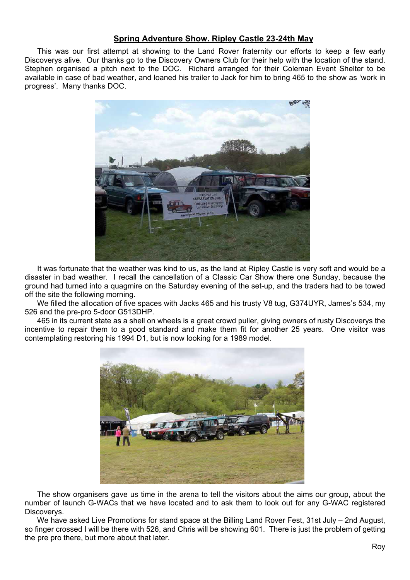# **Spring Adventure Show. Ripley Castle 23-24th May**

This was our first attempt at showing to the Land Rover fraternity our efforts to keep a few early Discoverys alive. Our thanks go to the Discovery Owners Club for their help with the location of the stand. Stephen organised a pitch next to the DOC. Richard arranged for their Coleman Event Shelter to be available in case of bad weather, and loaned his trailer to Jack for him to bring 465 to the show as 'work in progress'. Many thanks DOC.



It was fortunate that the weather was kind to us, as the land at Ripley Castle is very soft and would be a disaster in bad weather. I recall the cancellation of a Classic Car Show there one Sunday, because the ground had turned into a quagmire on the Saturday evening of the set-up, and the traders had to be towed off the site the following morning.

We filled the allocation of five spaces with Jacks 465 and his trusty V8 tug, G374UYR, James's 534, my 526 and the pre-pro 5-door G513DHP.

465 in its current state as a shell on wheels is a great crowd puller, giving owners of rusty Discoverys the incentive to repair them to a good standard and make them fit for another 25 years. One visitor was contemplating restoring his 1994 D1, but is now looking for a 1989 model.



The show organisers gave us time in the arena to tell the visitors about the aims our group, about the number of launch G-WACs that we have located and to ask them to look out for any G-WAC registered Discoverys.

We have asked Live Promotions for stand space at the Billing Land Rover Fest, 31st July – 2nd August, so finger crossed I will be there with 526, and Chris will be showing 601. There is just the problem of getting the pre pro there, but more about that later.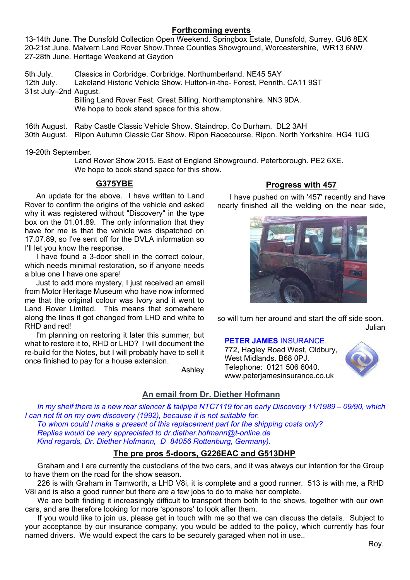# **Forthcoming events**

13-14th June. The Dunsfold Collection Open Weekend. Springbox Estate, Dunsfold, Surrey. GU6 8EX 20-21st June. Malvern Land Rover Show.Three Counties Showground, Worcestershire, WR13 6NW 27-28th June. Heritage Weekend at Gaydon

5th July. Classics in Corbridge. Corbridge. Northumberland. NE45 5AY 12th July. Lakeland Historic Vehicle Show. Hutton-in-the- Forest, Penrith. CA11 9ST 31st July–2nd August. Billing Land Rover Fest. Great Billing. Northamptonshire. NN3 9DA.

We hope to book stand space for this show.

16th August. Raby Castle Classic Vehicle Show. Staindrop. Co Durham. DL2 3AH

30th August. Ripon Autumn Classic Car Show. Ripon Racecourse. Ripon. North Yorkshire. HG4 1UG

19-20th September.

 Land Rover Show 2015. East of England Showground. Peterborough. PE2 6XE. We hope to book stand space for this show.

# **G375YBE**

An update for the above. I have written to Land Rover to confirm the origins of the vehicle and asked why it was registered without "Discovery" in the type box on the 01.01.89. The only information that they have for me is that the vehicle was dispatched on 17.07.89, so I've sent off for the DVLA information so I'll let you know the response.

I have found a 3-door shell in the correct colour, which needs minimal restoration, so if anyone needs a blue one I have one spare!

Just to add more mystery, I just received an email from Motor Heritage Museum who have now informed me that the original colour was Ivory and it went to Land Rover Limited. This means that somewhere along the lines it got changed from LHD and white to RHD and red!

I'm planning on restoring it later this summer, but what to restore it to, RHD or LHD? I will document the re-build for the Notes, but I will probably have to sell it once finished to pay for a house extension.

Ashley

# **Progress with 457**

I have pushed on with '457' recently and have nearly finished all the welding on the near side,



so will turn her around and start the off side soon. Julian

## **PETER JAMES** INSURANCE.

772, Hagley Road West, Oldbury, West Midlands. B68 0PJ. Telephone: 0121 506 6040. www.peterjamesinsurance.co.uk



# **An email from Dr. Diether Hofmann**

*In my shelf there is a new rear silencer & tailpipe NTC7119 for an early Discovery 11/1989 – 09/90, which I can not fit on my own discovery (1992), because it is not suitable for. To whom could I make a present of this replacement part for the shipping costs only? Replies would be very appreciated to dr.diether.hofmann@t-online.de Kind regards, Dr. Diether Hofmann, D 84056 Rottenburg, Germany).*

# **The pre pros 5-doors, G226EAC and G513DHP**

Graham and I are currently the custodians of the two cars, and it was always our intention for the Group to have them on the road for the show season.

226 is with Graham in Tamworth, a LHD V8i, it is complete and a good runner. 513 is with me, a RHD V8i and is also a good runner but there are a few jobs to do to make her complete.

We are both finding it increasingly difficult to transport them both to the shows, together with our own cars, and are therefore looking for more 'sponsors' to look after them.

If you would like to join us, please get in touch with me so that we can discuss the details. Subject to your acceptance by our insurance company, you would be added to the policy, which currently has four named drivers. We would expect the cars to be securely garaged when not in use..